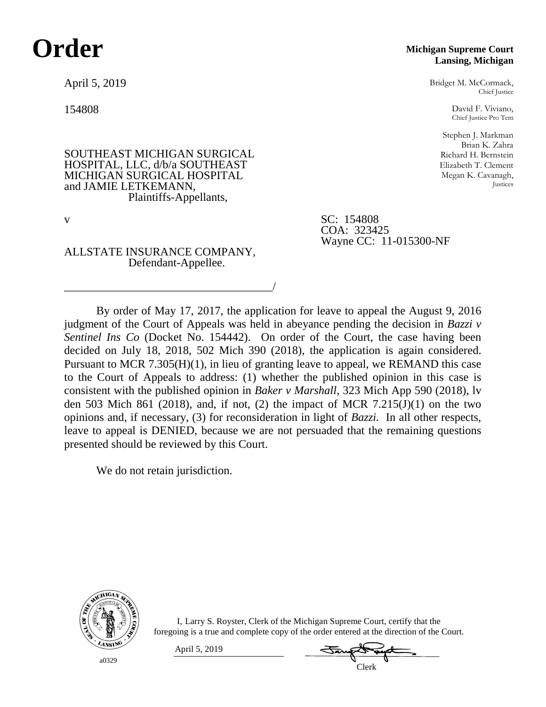# **Order**

April 5, 2019

154808

SOUTHEAST MICHIGAN SURGICAL HOSPITAL, LLC, d/b/a SOUTHEAST MICHIGAN SURGICAL HOSPITAL and JAMIE LETKEMANN, Plaintiffs-Appellants,

**Michigan Supreme Court Lansing, Michigan**

Bridget M. McCormack, Chief Justice

David F. Viviano, Chief Justice Pro Tem

Stephen J. Markman Brian K. Zahra Richard H. Bernstein Elizabeth T. Clement Megan K. Cavanagh, Justices

v SC: 154808 COA: 323425 Wayne CC: 11-015300-NF

ALLSTATE INSURANCE COMPANY, Defendant-Appellee.

\_\_\_\_\_\_\_\_\_\_\_\_\_\_\_\_\_\_\_\_\_\_\_\_\_\_\_\_\_\_\_\_\_\_\_\_/

By order of May 17, 2017, the application for leave to appeal the August 9, 2016 judgment of the Court of Appeals was held in abeyance pending the decision in *Bazzi v Sentinel Ins Co* (Docket No. 154442). On order of the Court, the case having been decided on July 18, 2018, 502 Mich 390 (2018), the application is again considered. Pursuant to MCR 7.305(H)(1), in lieu of granting leave to appeal, we REMAND this case to the Court of Appeals to address: (1) whether the published opinion in this case is consistent with the published opinion in *Baker v Marshall*, 323 Mich App 590 (2018), lv den 503 Mich 861 (2018), and, if not, (2) the impact of MCR 7.215(J)(1) on the two opinions and, if necessary, (3) for reconsideration in light of *Bazzi.* In all other respects, leave to appeal is DENIED, because we are not persuaded that the remaining questions presented should be reviewed by this Court.

We do not retain jurisdiction.



a0329

I, Larry S. Royster, Clerk of the Michigan Supreme Court, certify that the foregoing is a true and complete copy of the order entered at the direction of the Court.

April 5, 2019

Clerk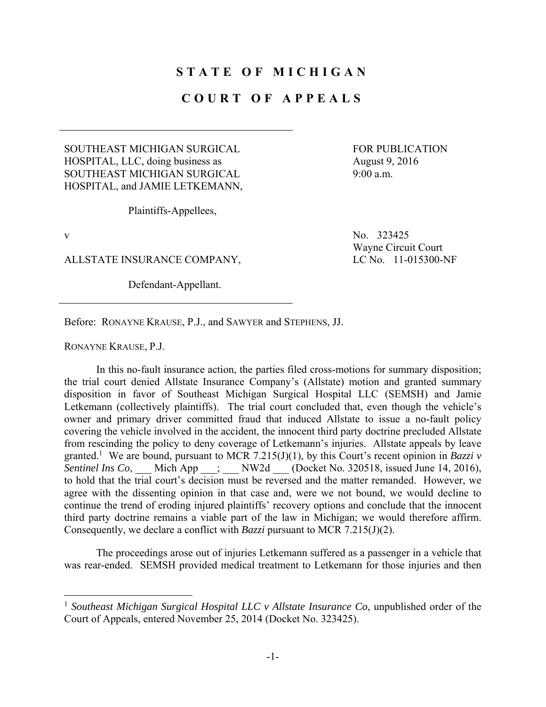## **STATE OF MICHIGAN**

#### **COURT OF APPEALS**

#### SOUTHEAST MICHIGAN SURGICAL HOSPITAL, LLC, doing business as SOUTHEAST MICHIGAN SURGICAL HOSPITAL, and JAMIE LETKEMANN,

Plaintiffs-Appellees,

 $\overline{a}$ 

ALLSTATE INSURANCE COMPANY, LC No. 11-015300-NF

Defendant-Appellant.

FOR PUBLICATION August 9, 2016 9:00 a.m.

v  $N_0$ . 323425 Wayne Circuit Court

Before: RONAYNE KRAUSE, P.J., and SAWYER and STEPHENS, JJ.

RONAYNE KRAUSE, P.J.

 In this no-fault insurance action, the parties filed cross-motions for summary disposition; the trial court denied Allstate Insurance Company's (Allstate) motion and granted summary disposition in favor of Southeast Michigan Surgical Hospital LLC (SEMSH) and Jamie Letkemann (collectively plaintiffs). The trial court concluded that, even though the vehicle's owner and primary driver committed fraud that induced Allstate to issue a no-fault policy covering the vehicle involved in the accident, the innocent third party doctrine precluded Allstate from rescinding the policy to deny coverage of Letkemann's injuries. Allstate appeals by leave granted.<sup>1</sup> We are bound, pursuant to MCR 7.215(J)(1), by this Court's recent opinion in *Bazzi v Sentinel Ins Co*, \_\_\_ Mich App \_\_\_; \_\_\_ NW2d \_\_\_ (Docket No. 320518, issued June 14, 2016), to hold that the trial court's decision must be reversed and the matter remanded. However, we agree with the dissenting opinion in that case and, were we not bound, we would decline to continue the trend of eroding injured plaintiffs' recovery options and conclude that the innocent third party doctrine remains a viable part of the law in Michigan; we would therefore affirm. Consequently, we declare a conflict with *Bazzi* pursuant to MCR 7.215(J)(2).

 The proceedings arose out of injuries Letkemann suffered as a passenger in a vehicle that was rear-ended. SEMSH provided medical treatment to Letkemann for those injuries and then

<sup>&</sup>lt;sup>1</sup> Southeast Michigan Surgical Hospital LLC v Allstate Insurance Co, unpublished order of the Court of Appeals, entered November 25, 2014 (Docket No. 323425).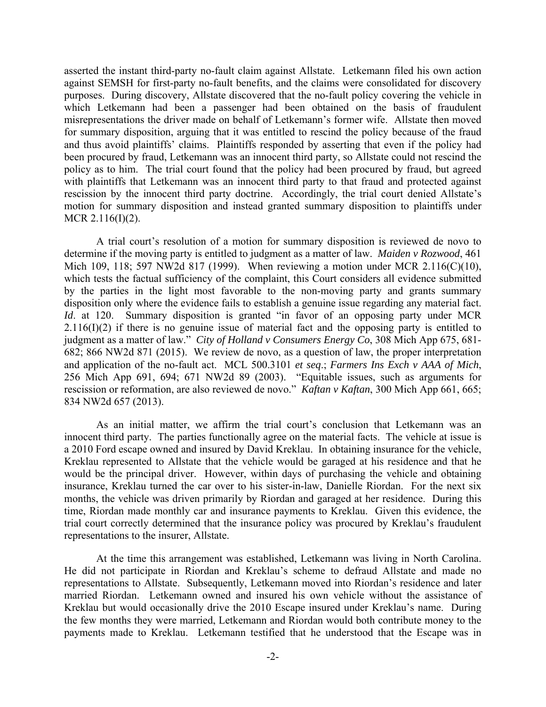asserted the instant third-party no-fault claim against Allstate. Letkemann filed his own action against SEMSH for first-party no-fault benefits, and the claims were consolidated for discovery purposes. During discovery, Allstate discovered that the no-fault policy covering the vehicle in which Letkemann had been a passenger had been obtained on the basis of fraudulent misrepresentations the driver made on behalf of Letkemann's former wife. Allstate then moved for summary disposition, arguing that it was entitled to rescind the policy because of the fraud and thus avoid plaintiffs' claims. Plaintiffs responded by asserting that even if the policy had been procured by fraud, Letkemann was an innocent third party, so Allstate could not rescind the policy as to him. The trial court found that the policy had been procured by fraud, but agreed with plaintiffs that Letkemann was an innocent third party to that fraud and protected against rescission by the innocent third party doctrine. Accordingly, the trial court denied Allstate's motion for summary disposition and instead granted summary disposition to plaintiffs under MCR 2.116(I)(2).

 A trial court's resolution of a motion for summary disposition is reviewed de novo to determine if the moving party is entitled to judgment as a matter of law. *Maiden v Rozwood*, 461 Mich 109, 118; 597 NW2d 817 (1999). When reviewing a motion under MCR 2.116(C)(10), which tests the factual sufficiency of the complaint, this Court considers all evidence submitted by the parties in the light most favorable to the non-moving party and grants summary disposition only where the evidence fails to establish a genuine issue regarding any material fact. *Id.* at 120. Summary disposition is granted "in favor of an opposing party under MCR  $2.116(I)(2)$  if there is no genuine issue of material fact and the opposing party is entitled to judgment as a matter of law." *City of Holland v Consumers Energy Co*, 308 Mich App 675, 681- 682; 866 NW2d 871 (2015). We review de novo, as a question of law, the proper interpretation and application of the no-fault act. MCL 500.3101 *et seq*.; *Farmers Ins Exch v AAA of Mich*, 256 Mich App 691, 694; 671 NW2d 89 (2003). "Equitable issues, such as arguments for rescission or reformation, are also reviewed de novo." *Kaftan v Kaftan*, 300 Mich App 661, 665; 834 NW2d 657 (2013).

 As an initial matter, we affirm the trial court's conclusion that Letkemann was an innocent third party. The parties functionally agree on the material facts. The vehicle at issue is a 2010 Ford escape owned and insured by David Kreklau. In obtaining insurance for the vehicle, Kreklau represented to Allstate that the vehicle would be garaged at his residence and that he would be the principal driver. However, within days of purchasing the vehicle and obtaining insurance, Kreklau turned the car over to his sister-in-law, Danielle Riordan. For the next six months, the vehicle was driven primarily by Riordan and garaged at her residence. During this time, Riordan made monthly car and insurance payments to Kreklau. Given this evidence, the trial court correctly determined that the insurance policy was procured by Kreklau's fraudulent representations to the insurer, Allstate.

 At the time this arrangement was established, Letkemann was living in North Carolina. He did not participate in Riordan and Kreklau's scheme to defraud Allstate and made no representations to Allstate. Subsequently, Letkemann moved into Riordan's residence and later married Riordan. Letkemann owned and insured his own vehicle without the assistance of Kreklau but would occasionally drive the 2010 Escape insured under Kreklau's name. During the few months they were married, Letkemann and Riordan would both contribute money to the payments made to Kreklau. Letkemann testified that he understood that the Escape was in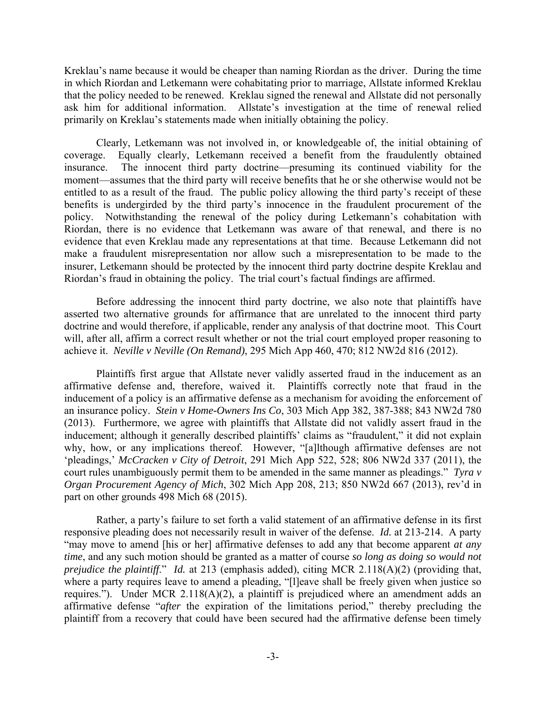Kreklau's name because it would be cheaper than naming Riordan as the driver. During the time in which Riordan and Letkemann were cohabitating prior to marriage, Allstate informed Kreklau that the policy needed to be renewed. Kreklau signed the renewal and Allstate did not personally ask him for additional information. Allstate's investigation at the time of renewal relied primarily on Kreklau's statements made when initially obtaining the policy.

 Clearly, Letkemann was not involved in, or knowledgeable of, the initial obtaining of coverage. Equally clearly, Letkemann received a benefit from the fraudulently obtained insurance. The innocent third party doctrine—presuming its continued viability for the moment—assumes that the third party will receive benefits that he or she otherwise would not be entitled to as a result of the fraud. The public policy allowing the third party's receipt of these benefits is undergirded by the third party's innocence in the fraudulent procurement of the policy. Notwithstanding the renewal of the policy during Letkemann's cohabitation with Riordan, there is no evidence that Letkemann was aware of that renewal, and there is no evidence that even Kreklau made any representations at that time. Because Letkemann did not make a fraudulent misrepresentation nor allow such a misrepresentation to be made to the insurer, Letkemann should be protected by the innocent third party doctrine despite Kreklau and Riordan's fraud in obtaining the policy. The trial court's factual findings are affirmed.

 Before addressing the innocent third party doctrine, we also note that plaintiffs have asserted two alternative grounds for affirmance that are unrelated to the innocent third party doctrine and would therefore, if applicable, render any analysis of that doctrine moot. This Court will, after all, affirm a correct result whether or not the trial court employed proper reasoning to achieve it. *Neville v Neville (On Remand)*, 295 Mich App 460, 470; 812 NW2d 816 (2012).

 Plaintiffs first argue that Allstate never validly asserted fraud in the inducement as an affirmative defense and, therefore, waived it. Plaintiffs correctly note that fraud in the inducement of a policy is an affirmative defense as a mechanism for avoiding the enforcement of an insurance policy. *Stein v Home-Owners Ins Co*, 303 Mich App 382, 387-388; 843 NW2d 780 (2013). Furthermore, we agree with plaintiffs that Allstate did not validly assert fraud in the inducement; although it generally described plaintiffs' claims as "fraudulent," it did not explain why, how, or any implications thereof. However, "[a]lthough affirmative defenses are not 'pleadings,' *McCracken v City of Detroit*, 291 Mich App 522, 528; 806 NW2d 337 (2011), the court rules unambiguously permit them to be amended in the same manner as pleadings." *Tyra v Organ Procurement Agency of Mich*, 302 Mich App 208, 213; 850 NW2d 667 (2013), rev'd in part on other grounds 498 Mich 68 (2015).

 Rather, a party's failure to set forth a valid statement of an affirmative defense in its first responsive pleading does not necessarily result in waiver of the defense. *Id.* at 213-214. A party "may move to amend [his or her] affirmative defenses to add any that become apparent *at any time*, and any such motion should be granted as a matter of course *so long as doing so would not prejudice the plaintiff*." *Id.* at 213 (emphasis added), citing MCR 2.118(A)(2) (providing that, where a party requires leave to amend a pleading, "[I]eave shall be freely given when justice so requires."). Under MCR  $2.118(A)(2)$ , a plaintiff is prejudiced where an amendment adds an affirmative defense "*after* the expiration of the limitations period," thereby precluding the plaintiff from a recovery that could have been secured had the affirmative defense been timely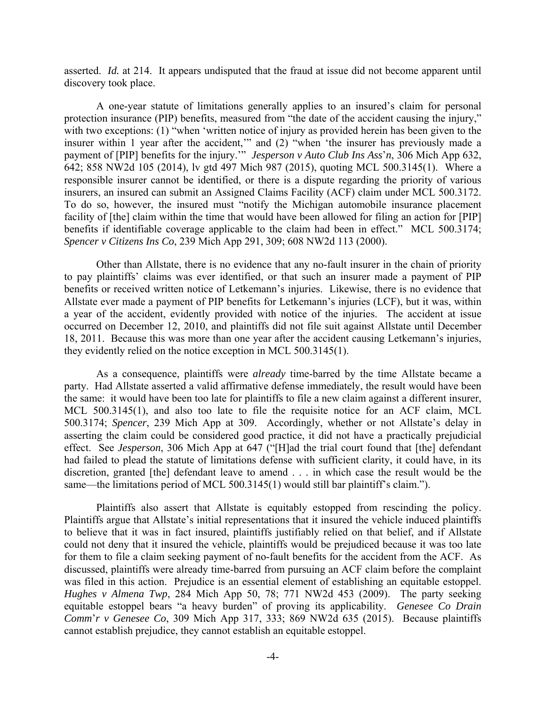asserted. *Id.* at 214. It appears undisputed that the fraud at issue did not become apparent until discovery took place.

 A one-year statute of limitations generally applies to an insured's claim for personal protection insurance (PIP) benefits, measured from "the date of the accident causing the injury," with two exceptions: (1) "when 'written notice of injury as provided herein has been given to the insurer within 1 year after the accident,'" and (2) "when 'the insurer has previously made a payment of [PIP] benefits for the injury.'" *Jesperson v Auto Club Ins Ass*'*n*, 306 Mich App 632, 642; 858 NW2d 105 (2014), lv gtd 497 Mich 987 (2015), quoting MCL 500.3145(1). Where a responsible insurer cannot be identified, or there is a dispute regarding the priority of various insurers, an insured can submit an Assigned Claims Facility (ACF) claim under MCL 500.3172. To do so, however, the insured must "notify the Michigan automobile insurance placement facility of [the] claim within the time that would have been allowed for filing an action for [PIP] benefits if identifiable coverage applicable to the claim had been in effect." MCL 500.3174; *Spencer v Citizens Ins Co*, 239 Mich App 291, 309; 608 NW2d 113 (2000).

 Other than Allstate, there is no evidence that any no-fault insurer in the chain of priority to pay plaintiffs' claims was ever identified, or that such an insurer made a payment of PIP benefits or received written notice of Letkemann's injuries. Likewise, there is no evidence that Allstate ever made a payment of PIP benefits for Letkemann's injuries (LCF), but it was, within a year of the accident, evidently provided with notice of the injuries. The accident at issue occurred on December 12, 2010, and plaintiffs did not file suit against Allstate until December 18, 2011. Because this was more than one year after the accident causing Letkemann's injuries, they evidently relied on the notice exception in MCL 500.3145(1).

 As a consequence, plaintiffs were *already* time-barred by the time Allstate became a party. Had Allstate asserted a valid affirmative defense immediately, the result would have been the same: it would have been too late for plaintiffs to file a new claim against a different insurer, MCL 500.3145(1), and also too late to file the requisite notice for an ACF claim, MCL 500.3174; *Spencer*, 239 Mich App at 309. Accordingly, whether or not Allstate's delay in asserting the claim could be considered good practice, it did not have a practically prejudicial effect. See *Jesperson*, 306 Mich App at 647 ("[H]ad the trial court found that [the] defendant had failed to plead the statute of limitations defense with sufficient clarity, it could have, in its discretion, granted [the] defendant leave to amend . . . in which case the result would be the same—the limitations period of MCL 500.3145(1) would still bar plaintiff's claim.").

 Plaintiffs also assert that Allstate is equitably estopped from rescinding the policy. Plaintiffs argue that Allstate's initial representations that it insured the vehicle induced plaintiffs to believe that it was in fact insured, plaintiffs justifiably relied on that belief, and if Allstate could not deny that it insured the vehicle, plaintiffs would be prejudiced because it was too late for them to file a claim seeking payment of no-fault benefits for the accident from the ACF. As discussed, plaintiffs were already time-barred from pursuing an ACF claim before the complaint was filed in this action. Prejudice is an essential element of establishing an equitable estoppel. *Hughes v Almena Twp*, 284 Mich App 50, 78; 771 NW2d 453 (2009). The party seeking equitable estoppel bears "a heavy burden" of proving its applicability. *Genesee Co Drain Comm*'*r v Genesee Co*, 309 Mich App 317, 333; 869 NW2d 635 (2015). Because plaintiffs cannot establish prejudice, they cannot establish an equitable estoppel.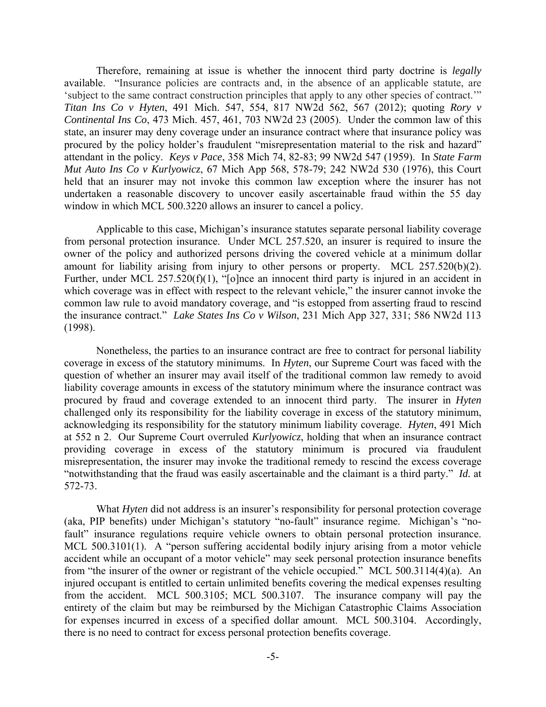Therefore, remaining at issue is whether the innocent third party doctrine is *legally* available. "Insurance policies are contracts and, in the absence of an applicable statute, are 'subject to the same contract construction principles that apply to any other species of contract.'" *Titan Ins Co v Hyten*, 491 Mich. 547, 554, 817 NW2d 562, 567 (2012); quoting *Rory v Continental Ins Co*, 473 Mich. 457, 461, 703 NW2d 23 (2005). Under the common law of this state, an insurer may deny coverage under an insurance contract where that insurance policy was procured by the policy holder's fraudulent "misrepresentation material to the risk and hazard" attendant in the policy. *Keys v Pace*, 358 Mich 74, 82-83; 99 NW2d 547 (1959). In *State Farm Mut Auto Ins Co v Kurlyowicz*, 67 Mich App 568, 578-79; 242 NW2d 530 (1976), this Court held that an insurer may not invoke this common law exception where the insurer has not undertaken a reasonable discovery to uncover easily ascertainable fraud within the 55 day window in which MCL 500.3220 allows an insurer to cancel a policy.

 Applicable to this case, Michigan's insurance statutes separate personal liability coverage from personal protection insurance. Under MCL 257.520, an insurer is required to insure the owner of the policy and authorized persons driving the covered vehicle at a minimum dollar amount for liability arising from injury to other persons or property. MCL 257.520(b)(2). Further, under MCL 257.520(f)(1), "[o]nce an innocent third party is injured in an accident in which coverage was in effect with respect to the relevant vehicle," the insurer cannot invoke the common law rule to avoid mandatory coverage, and "is estopped from asserting fraud to rescind the insurance contract." *Lake States Ins Co v Wilson*, 231 Mich App 327, 331; 586 NW2d 113 (1998).

 Nonetheless, the parties to an insurance contract are free to contract for personal liability coverage in excess of the statutory minimums. In *Hyten*, our Supreme Court was faced with the question of whether an insurer may avail itself of the traditional common law remedy to avoid liability coverage amounts in excess of the statutory minimum where the insurance contract was procured by fraud and coverage extended to an innocent third party. The insurer in *Hyten* challenged only its responsibility for the liability coverage in excess of the statutory minimum, acknowledging its responsibility for the statutory minimum liability coverage. *Hyten*, 491 Mich at 552 n 2. Our Supreme Court overruled *Kurlyowicz*, holding that when an insurance contract providing coverage in excess of the statutory minimum is procured via fraudulent misrepresentation, the insurer may invoke the traditional remedy to rescind the excess coverage "notwithstanding that the fraud was easily ascertainable and the claimant is a third party." *Id.* at 572-73.

What *Hyten* did not address is an insurer's responsibility for personal protection coverage (aka, PIP benefits) under Michigan's statutory "no-fault" insurance regime. Michigan's "nofault" insurance regulations require vehicle owners to obtain personal protection insurance. MCL 500.3101(1). A "person suffering accidental bodily injury arising from a motor vehicle accident while an occupant of a motor vehicle" may seek personal protection insurance benefits from "the insurer of the owner or registrant of the vehicle occupied." MCL 500.3114(4)(a). An injured occupant is entitled to certain unlimited benefits covering the medical expenses resulting from the accident. MCL 500.3105; MCL 500.3107. The insurance company will pay the entirety of the claim but may be reimbursed by the Michigan Catastrophic Claims Association for expenses incurred in excess of a specified dollar amount. MCL 500.3104. Accordingly, there is no need to contract for excess personal protection benefits coverage.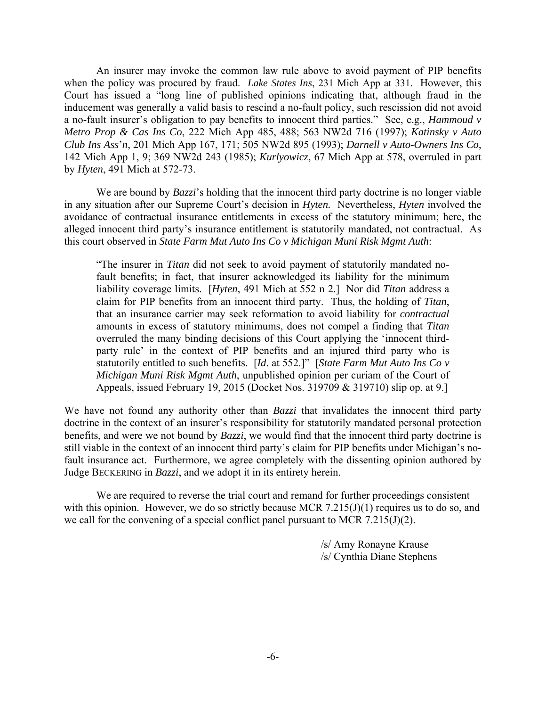An insurer may invoke the common law rule above to avoid payment of PIP benefits when the policy was procured by fraud. *Lake States Ins*, 231 Mich App at 331. However, this Court has issued a "long line of published opinions indicating that, although fraud in the inducement was generally a valid basis to rescind a no-fault policy, such rescission did not avoid a no-fault insurer's obligation to pay benefits to innocent third parties." See, e.g., *Hammoud v Metro Prop & Cas Ins Co*, 222 Mich App 485, 488; 563 NW2d 716 (1997); *Katinsky v Auto Club Ins Ass*'*n*, 201 Mich App 167, 171; 505 NW2d 895 (1993); *Darnell v Auto-Owners Ins Co*, 142 Mich App 1, 9; 369 NW2d 243 (1985); *Kurlyowicz*, 67 Mich App at 578, overruled in part by *Hyten*, 491 Mich at 572-73.

We are bound by *Bazzi*'s holding that the innocent third party doctrine is no longer viable in any situation after our Supreme Court's decision in *Hyten.* Nevertheless, *Hyten* involved the avoidance of contractual insurance entitlements in excess of the statutory minimum; here, the alleged innocent third party's insurance entitlement is statutorily mandated, not contractual. As this court observed in *State Farm Mut Auto Ins Co v Michigan Muni Risk Mgmt Auth*:

"The insurer in *Titan* did not seek to avoid payment of statutorily mandated nofault benefits; in fact, that insurer acknowledged its liability for the minimum liability coverage limits. [*Hyten*, 491 Mich at 552 n 2.] Nor did *Titan* address a claim for PIP benefits from an innocent third party. Thus, the holding of *Titan*, that an insurance carrier may seek reformation to avoid liability for *contractual*  amounts in excess of statutory minimums, does not compel a finding that *Titan*  overruled the many binding decisions of this Court applying the 'innocent thirdparty rule' in the context of PIP benefits and an injured third party who is statutorily entitled to such benefits. [*Id*. at 552.]" [*State Farm Mut Auto Ins Co v Michigan Muni Risk Mgmt Auth*, unpublished opinion per curiam of the Court of Appeals, issued February 19, 2015 (Docket Nos. 319709 & 319710) slip op. at 9.]

We have not found any authority other than *Bazzi* that invalidates the innocent third party doctrine in the context of an insurer's responsibility for statutorily mandated personal protection benefits, and were we not bound by *Bazzi*, we would find that the innocent third party doctrine is still viable in the context of an innocent third party's claim for PIP benefits under Michigan's nofault insurance act. Furthermore, we agree completely with the dissenting opinion authored by Judge BECKERING in *Bazzi*, and we adopt it in its entirety herein.

 We are required to reverse the trial court and remand for further proceedings consistent with this opinion. However, we do so strictly because MCR 7.215(J)(1) requires us to do so, and we call for the convening of a special conflict panel pursuant to MCR 7.215(J)(2).

> /s/ Amy Ronayne Krause /s/ Cynthia Diane Stephens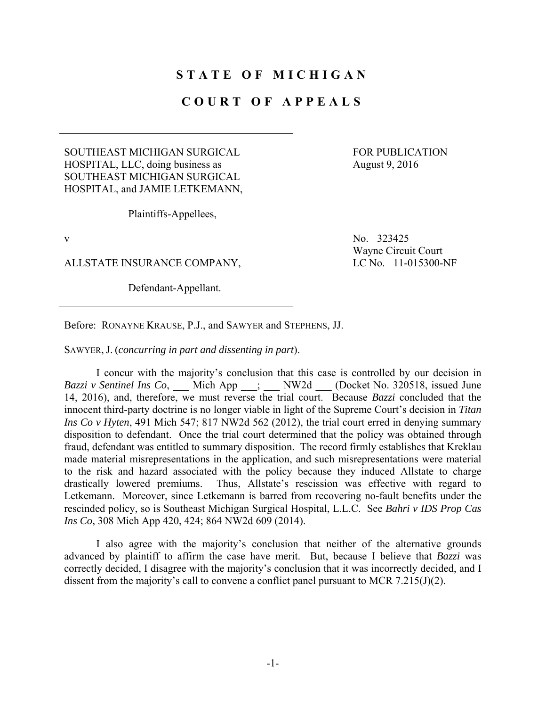# **STATE OF MICHIGAN**

### **COURT OF APPEALS**

#### SOUTHEAST MICHIGAN SURGICAL HOSPITAL, LLC, doing business as SOUTHEAST MICHIGAN SURGICAL HOSPITAL, and JAMIE LETKEMANN,

FOR PUBLICATION August 9, 2016

Plaintiffs-Appellees,

ALLSTATE INSURANCE COMPANY, LC No. 11-015300-NF

Defendant-Appellant.

v  $N_0$ , 323425 Wayne Circuit Court

Before: RONAYNE KRAUSE, P.J., and SAWYER and STEPHENS, JJ.

SAWYER, J. (*concurring in part and dissenting in part*).

 I concur with the majority's conclusion that this case is controlled by our decision in *Bazzi v Sentinel Ins Co*, Mich App ; NW2d (Docket No. 320518, issued June 14, 2016), and, therefore, we must reverse the trial court. Because *Bazzi* concluded that the innocent third-party doctrine is no longer viable in light of the Supreme Court's decision in *Titan Ins Co v Hyten*, 491 Mich 547; 817 NW2d 562 (2012), the trial court erred in denying summary disposition to defendant. Once the trial court determined that the policy was obtained through fraud, defendant was entitled to summary disposition. The record firmly establishes that Kreklau made material misrepresentations in the application, and such misrepresentations were material to the risk and hazard associated with the policy because they induced Allstate to charge drastically lowered premiums. Thus, Allstate's rescission was effective with regard to Letkemann. Moreover, since Letkemann is barred from recovering no-fault benefits under the rescinded policy, so is Southeast Michigan Surgical Hospital, L.L.C. See *Bahri v IDS Prop Cas Ins Co*, 308 Mich App 420, 424; 864 NW2d 609 (2014).

 I also agree with the majority's conclusion that neither of the alternative grounds advanced by plaintiff to affirm the case have merit. But, because I believe that *Bazzi* was correctly decided, I disagree with the majority's conclusion that it was incorrectly decided, and I dissent from the majority's call to convene a conflict panel pursuant to MCR 7.215(J)(2).